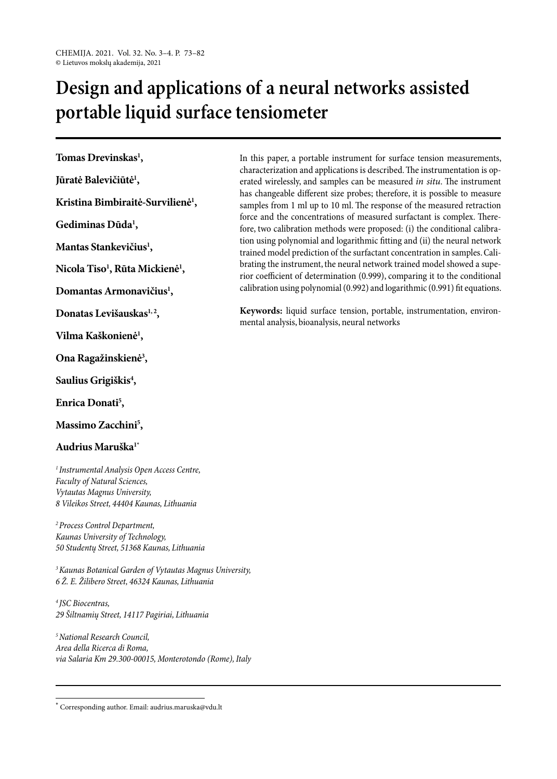# **Design and applications of a neural networks assisted portable liquid surface tensiometer**

**Tomas Drevinskas1 ,**

**Jūratė Balevičiūtė1 ,**

**Kristina Bimbiraitė-Survilienė1 ,**

**Gediminas Dūda1 ,**

**Mantas Stankevičius1 ,**

**Nicola Tiso1 , Rūta Mickienė1 ,**

**Domantas Armonavičius1 ,**

**Donatas Levišauskas1, 2,**

**Vilma Kaškonienė1 ,**

**Ona Ragažinskienė3 ,**

**Saulius Grigiškis4 ,**

**Enrica Donati5 ,**

**Massimo Zacchini5 ,**

## **Audrius Maruška1\***

*1 Instrumental Analysis Open Access Centre, Faculty of Natural Sciences, Vytautas Magnus University, 8 Vileikos Street, 44404 Kaunas, Lithuania*

*2 Process Control Department, Kaunas University of Technology, 50 Studentų Street, 51368 Kaunas, Lithuania*

*3 Kaunas Botanical Garden of Vytautas Magnus University, 6 Ž. E. Žilibero Street, 46324 Kaunas, Lithuania*

*4 JSC Biocentras, 29 Šiltnamių Street, 14117 Pagiriai, Lithuania*

*5 National Research Council, Area della Ricerca di Roma, via Salaria Km 29.300-00015, Monterotondo (Rome), Italy*

In this paper, a portable instrument for surface tension measurements, characterization and applications is described. The instrumentation is operated wirelessly, and samples can be measured *in situ*. The instrument has changeable different size probes; therefore, it is possible to measure samples from 1 ml up to 10 ml. The response of the measured retraction force and the concentrations of measured surfactant is complex. Therefore, two calibration methods were proposed: (i) the conditional calibration using polynomial and logarithmic fitting and (ii) the neural network trained model prediction of the surfactant concentration in samples. Calibrating the instrument, the neural network trained model showed a superior coefficient of determination (0.999), comparing it to the conditional calibration using polynomial (0.992) and logarithmic (0.991) fit equations.

**Keywords:** liquid surface tension, portable, instrumentation, environmental analysis, bioanalysis, neural networks

\* Corresponding author. Email: audrius.maruska@vdu.lt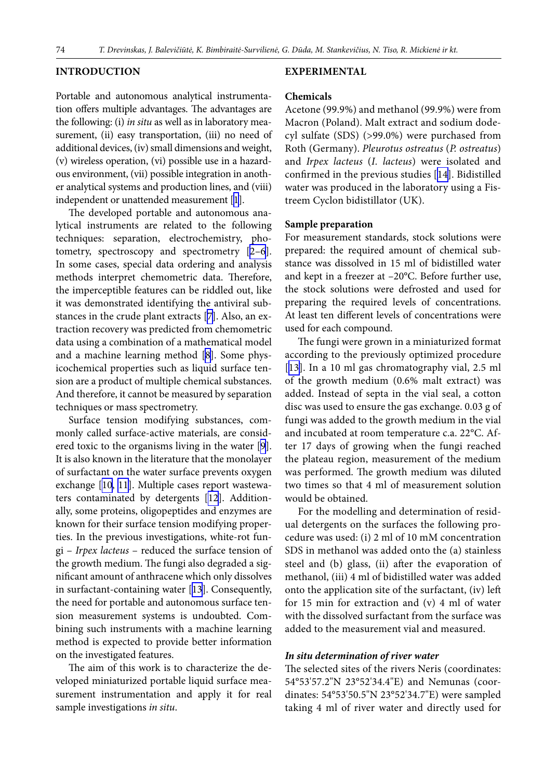#### **INTRODUCTION**

Portable and autonomous analytical instrumentation offers multiple advantages. The advantages are the following: (i) *in situ* as well as in laboratory measurement, (ii) easy transportation, (iii) no need of additional devices, (iv) small dimensions and weight, (v) wireless operation, (vi) possible use in a hazardous environment, (vii) possible integration in another analytical systems and production lines, and (viii) independent or unattended measurement [[1](#page-8-0)].

The developed portable and autonomous analytical instruments are related to the following techniques: separation, electrochemistry, photometry, spectroscopy and spectrometry [\[2–6](#page-8-1)]. In some cases, special data ordering and analysis methods interpret chemometric data. Therefore, the imperceptible features can be riddled out, like it was demonstrated identifying the antiviral substances in the crude plant extracts [\[7\]](#page-8-2). Also, an extraction recovery was predicted from chemometric data using a combination of a mathematical model and a machine learning method [\[8\]](#page-8-3). Some physicochemical properties such as liquid surface tension are a product of multiple chemical substances. And therefore, it cannot be measured by separation techniques or mass spectrometry.

Surface tension modifying substances, commonly called surface-active materials, are considered toxic to the organisms living in the water [[9](#page-8-4)]. It is also known in the literature that the monolayer of surfactant on the water surface prevents oxygen exchange [\[10](#page-8-5), [11](#page-8-6)]. Multiple cases report wastewaters contaminated by detergents [\[12](#page-8-7)]. Additionally, some proteins, oligopeptides and enzymes are known for their surface tension modifying properties. In the previous investigations, white-rot fungi – *Irpex lacteus* – reduced the surface tension of the growth medium. The fungi also degraded a significant amount of anthracene which only dissolves in surfactant-containing water [[13](#page-8-8)]. Consequently, the need for portable and autonomous surface tension measurement systems is undoubted. Combining such instruments with a machine learning method is expected to provide better information on the investigated features.

The aim of this work is to characterize the developed miniaturized portable liquid surface measurement instrumentation and apply it for real sample investigations *in situ*.

#### **EXPERIMENTAL**

#### **Chemicals**

Acetone (99.9%) and methanol (99.9%) were from Macron (Poland). Malt extract and sodium dodecyl sulfate (SDS) (>99.0%) were purchased from Roth (Germany). *Pleurotus ostreatus* (*P. ostreatus*) and *Irpex lacteus* (*I. lacteus*) were isolated and confirmed in the previous studies [\[14\]](#page-8-9). Bidistilled water was produced in the laboratory using a Fistreem Cyclon bidistillator (UK).

#### **Sample preparation**

For measurement standards, stock solutions were prepared: the required amount of chemical substance was dissolved in 15 ml of bidistilled water and kept in a freezer at –20°C. Before further use, the stock solutions were defrosted and used for preparing the required levels of concentrations. At least ten different levels of concentrations were used for each compound.

The fungi were grown in a miniaturized format according to the previously optimized procedure [\[13](#page-8-8)]. In a 10 ml gas chromatography vial, 2.5 ml of the growth medium (0.6% malt extract) was added. Instead of septa in the vial seal, a cotton disc was used to ensure the gas exchange. 0.03 g of fungi was added to the growth medium in the vial and incubated at room temperature c.a. 22°C. After 17 days of growing when the fungi reached the plateau region, measurement of the medium was performed. The growth medium was diluted two times so that 4 ml of measurement solution would be obtained.

For the modelling and determination of residual detergents on the surfaces the following procedure was used: (i) 2 ml of 10 mM concentration SDS in methanol was added onto the (a) stainless steel and (b) glass, (ii) after the evaporation of methanol, (iii) 4 ml of bidistilled water was added onto the application site of the surfactant, (iv) left for 15 min for extraction and (v) 4 ml of water with the dissolved surfactant from the surface was added to the measurement vial and measured.

#### *In situ determination of river water*

The selected sites of the rivers Neris (coordinates: 54°53'57.2"N 23°52'34.4"E) and Nemunas (coordinates: 54°53'50.5"N 23°52'34.7"E) were sampled taking 4 ml of river water and directly used for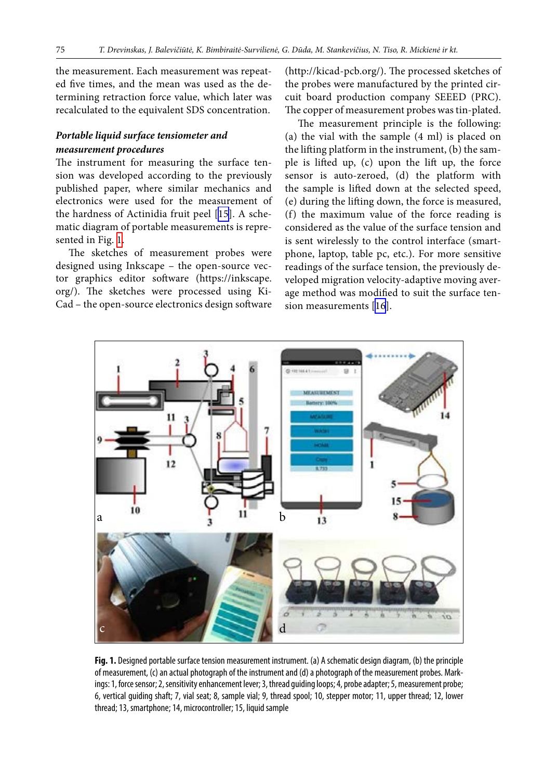the measurement. Each measurement was repeated five times, and the mean was used as the determining retraction force value, which later was recalculated to the equivalent SDS concentration.

# *Portable liquid surface tensiometer and measurement procedures*

The instrument for measuring the surface tension was developed according to the previously published paper, where similar mechanics and electronics were used for the measurement of the hardness of Actinidia fruit peel [\[15](#page-8-10)]. A schematic diagram of portable measurements is represented in Fig. [1](#page-2-0).

The sketches of measurement probes were designed using Inkscape - the open-source vector graphics editor software (https://inkscape. org/). The sketches were processed using Ki-Cad – the open-source electronics design software

(http://kicad-pcb.org/). The processed sketches of the probes were manufactured by the printed circuit board production company SEEED (PRC). The copper of measurement probes was tin-plated.

The measurement principle is the following: (a) the vial with the sample (4 ml) is placed on the lifting platform in the instrument, (b) the sample is lifted up, (c) upon the lift up, the force sensor is auto-zeroed, (d) the platform with the sample is lifted down at the selected speed, (e) during the lifting down, the force is measured, (f) the maximum value of the force reading is considered as the value of the surface tension and is sent wirelessly to the control interface (smartphone, laptop, table pc, etc.). For more sensitive readings of the surface tension, the previously developed migration velocity-adaptive moving average method was modified to suit the surface tension measurements [\[16\]](#page-8-11).

<span id="page-2-0"></span>

**Fig. 1.** Designed portable surface tension measurement instrument. (a) A schematic design diagram, (b) the principle of measurement, (c) an actual photograph of the instrument and (d) a photograph of the measurement probes. Markings: 1, force sensor; 2, sensitivity enhancement lever; 3, thread guiding loops; 4, probe adapter; 5, measurement probe; 6, vertical guiding shaft; 7, vial seat; 8, sample vial; 9, thread spool; 10, stepper motor; 11, upper thread; 12, lower thread; 13, smartphone; 14, microcontroller; 15, liquid sample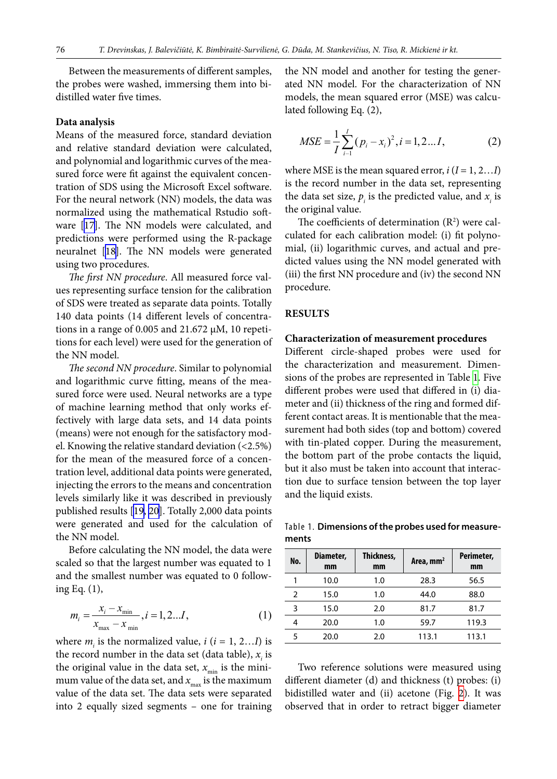Between the measurements of different samples, the probes were washed, immersing them into bidistilled water five times.

#### **Data analysis**

Means of the measured force, standard deviation and relative standard deviation were calculated, and polynomial and logarithmic curves of the measured force were fit against the equivalent concentration of SDS using the Microsoft Excel software. For the neural network (NN) models, the data was normalized using the mathematical Rstudio software [[17\]](#page-8-12). The NN models were calculated, and predictions were performed using the R-package neuralnet [[18\]](#page-8-13). The NN models were generated using two procedures.

*The first NN procedure*. All measured force values representing surface tension for the calibration of SDS were treated as separate data points. Totally 140 data points (14 different levels of concentrations in a range of 0.005 and 21.672  $\mu$ M, 10 repetitions for each level) were used for the generation of the NN model.

*The second NN procedure*. Similar to polynomial and logarithmic curve fitting, means of the measured force were used. Neural networks are a type of machine learning method that only works effectively with large data sets, and 14 data points (means) were not enough for the satisfactory model. Knowing the relative standard deviation (<2.5%) for the mean of the measured force of a concentration level, additional data points were generated, injecting the errors to the means and concentration levels similarly like it was described in previously published results [\[19](#page-8-14), [20](#page-8-15)]. Totally 2,000 data points were generated and used for the calculation of the NN model.

Before calculating the NN model, the data were scaled so that the largest number was equated to 1 and the smallest number was equated to 0 following Eq. (1),

$$
m_i = \frac{x_i - x_{\min}}{x_{\max} - x_{\min}}, i = 1, 2...I,
$$
 (1)

where  $m_i$  is the normalized value,  $i$  ( $i = 1, 2...I$ ) is the record number in the data set (data table),  $x_i$  is the original value in the data set,  $x_{\min}$  is the minimum value of the data set, and  $x_{\text{max}}$  is the maximum value of the data set. The data sets were separated into 2 equally sized segments – one for training

the NN model and another for testing the generated NN model. For the characterization of NN models, the mean squared error (MSE) was calculated following Eq. (2),

$$
MSE = \frac{1}{I} \sum_{i=1}^{I} (p_i - x_i)^2, i = 1, 2...I,
$$
 (2)

where MSE is the mean squared error,  $i$  ( $I = 1, 2...I$ ) is the record number in the data set, representing the data set size,  $p_i$  is the predicted value, and  $x_i$  is the original value.

The coefficients of determination  $(R^2)$  were calculated for each calibration model: (i) fit polynomial, (ii) logarithmic curves, and actual and predicted values using the NN model generated with (iii) the first NN procedure and (iv) the second NN procedure.

#### **RESULTS**

#### **Characterization of measurement procedures**

Different circle-shaped probes were used for the characterization and measurement. Dimensions of the probes are represented in Table [1](#page-3-0). Five different probes were used that differed in (i) diameter and (ii) thickness of the ring and formed different contact areas. It is mentionable that the measurement had both sides (top and bottom) covered with tin-plated copper. During the measurement, the bottom part of the probe contacts the liquid, but it also must be taken into account that interaction due to surface tension between the top layer and the liquid exists.

<span id="page-3-0"></span>Table 1. **Dimensions of the probes used for measurements**

| No. | Diameter,<br>mm | Thickness,<br>mm | Area, mm <sup>2</sup> | Perimeter,<br>mm |
|-----|-----------------|------------------|-----------------------|------------------|
|     | 10.0            | 1.0              | 28.3                  | 56.5             |
| 2   | 15.0            | 1.0              | 44.0                  | 88.0             |
| 3   | 15.0            | 2.0              | 81.7                  | 81.7             |
| 4   | 20.0            | 1.0              | 59.7                  | 119.3            |
| 5   | 20.0            | 2.0              | 113.1                 | 113.1            |

Two reference solutions were measured using different diameter (d) and thickness (t) probes: (i) bidistilled water and (ii) acetone (Fig.  [2\)](#page-4-0). It was observed that in order to retract bigger diameter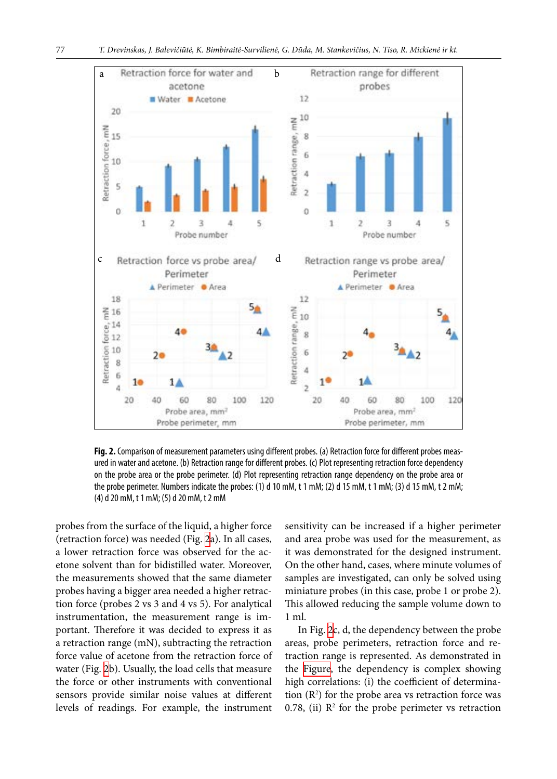<span id="page-4-1"></span><span id="page-4-0"></span>

**Fig. 2.** Comparison of measurement parameters using different probes. (a) Retraction force for different probes measured in water and acetone. (b) Retraction range for different probes. (c) Plot representing retraction force dependency on the probe area or the probe perimeter. (d) Plot representing retraction range dependency on the probe area or the probe perimeter. Numbers indicate the probes: (1) d 10 mM, t 1 mM; (2) d 15 mM, t 1 mM; (3) d 15 mM, t 2 mM; (4) d 20 mM, t 1 mM; (5) d 20 mM, t 2 mM

probes from the surface of the liquid, a higher force (retraction force) was needed (Fig. [2](#page-4-0)a). In all cases, a lower retraction force was observed for the acetone solvent than for bidistilled water. Moreover, the measurements showed that the same diameter probes having a bigger area needed a higher retraction force (probes 2 vs 3 and 4 vs 5). For analytical instrumentation, the measurement range is important. Therefore it was decided to express it as a retraction range (mN), subtracting the retraction force value of acetone from the retraction force of water (Fig. [2](#page-4-0)b). Usually, the load cells that measure the force or other instruments with conventional sensors provide similar noise values at different levels of readings. For example, the instrument

sensitivity can be increased if a higher perimeter and area probe was used for the measurement, as it was demonstrated for the designed instrument. On the other hand, cases, where minute volumes of samples are investigated, can only be solved using miniature probes (in this case, probe 1 or probe 2). This allowed reducing the sample volume down to 1 ml.

In Fig. [2c](#page-4-0), d, the dependency between the probe areas, probe perimeters, retraction force and retraction range is represented. As demonstrated in the  [Figure](#page-4-1), the dependency is complex showing high correlations: (i) the coefficient of determination  $(R^2)$  for the probe area vs retraction force was 0.78, (ii)  $\mathbb{R}^2$  for the probe perimeter vs retraction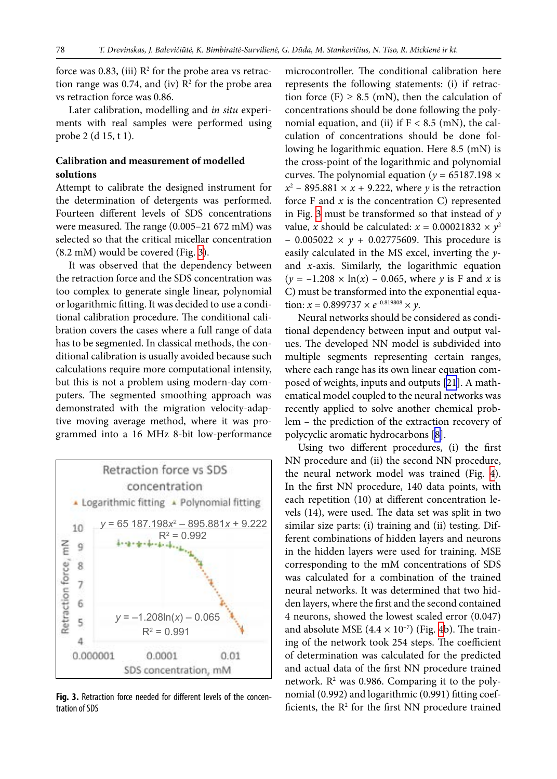force was 0.83, (iii)  $\mathbb{R}^2$  for the probe area vs retraction range was 0.74, and (iv)  $\mathbb{R}^2$  for the probe area vs retraction force was 0.86.

Later calibration, modelling and *in situ* experiments with real samples were performed using probe 2 (d 15, t 1).

# **Calibration and measurement of modelled solutions**

Attempt to calibrate the designed instrument for the determination of detergents was performed. Fourteen different levels of SDS concentrations were measured. The range (0.005–21 672 mM) was selected so that the critical micellar concentration (8.2 mM) would be covered (Fig. [3\)](#page-5-0).

It was observed that the dependency between the retraction force and the SDS concentration was too complex to generate single linear, polynomial or logarithmic fitting. It was decided to use a conditional calibration procedure. The conditional calibration covers the cases where a full range of data has to be segmented. In classical methods, the conditional calibration is usually avoided because such calculations require more computational intensity, but this is not a problem using modern-day computers. The segmented smoothing approach was demonstrated with the migration velocity-adaptive moving average method, where it was programmed into a 16 MHz 8-bit low-performance

<span id="page-5-0"></span>

Fig. 3. Retraction force needed for different levels of the concentration of SDS

microcontroller. The conditional calibration here represents the following statements: (i) if retraction force (F)  $\geq$  8.5 (mN), then the calculation of concentrations should be done following the polynomial equation, and (ii) if  $F < 8.5$  (mN), the calculation of concentrations should be done following he logarithmic equation. Here 8.5 (mN) is the cross-point of the logarithmic and polynomial curves. The polynomial equation ( $y = 65187.198 \times$  $x^2$  – 895.881  $\times x$  + 9.222, where *y* is the retraction force  $F$  and  $x$  is the concentration  $C$ ) represented in Fig. [3](#page-5-0) must be transformed so that instead of *y* value, *x* should be calculated:  $x = 0.00021832 \times y^2$  $-$  0.005022  $\times$  *y* + 0.02775609. This procedure is easily calculated in the MS excel, inverting the *y*and *x*-axis. Similarly, the logarithmic equation  $(y = -1.208 \times \ln(x) - 0.065$ , where *y* is F and *x* is C) must be transformed into the exponential equation:  $x = 0.899737 \times e^{-0.819808} \times y$ .

Neural networks should be considered as conditional dependency between input and output values. The developed NN model is subdivided into multiple segments representing certain ranges, where each range has its own linear equation composed of weights, inputs and outputs [\[21](#page-8-16)]. A mathematical model coupled to the neural networks was recently applied to solve another chemical problem – the prediction of the extraction recovery of polycyclic aromatic hydrocarbons [[8](#page-8-3)].

Using two different procedures, (i) the first NN procedure and (ii) the second NN procedure, the neural network model was trained (Fig.  [4](#page-6-0)). In the first NN procedure, 140 data points, with each repetition (10) at different concentration levels (14), were used. The data set was split in two similar size parts: (i) training and (ii) testing. Different combinations of hidden layers and neurons in the hidden layers were used for training. MSE corresponding to the mM concentrations of SDS was calculated for a combination of the trained neural networks. It was determined that two hidden layers, where the first and the second contained 4 neurons, showed the lowest scaled error (0.047) and absolute MSE  $(4.4 \times 10^{-7})$  $(4.4 \times 10^{-7})$  $(4.4 \times 10^{-7})$  (Fig. 4b). The training of the network took 254 steps. The coefficient of determination was calculated for the predicted and actual data of the first NN procedure trained network. R<sup>2</sup> was 0.986. Comparing it to the polynomial (0.992) and logarithmic (0.991) fitting coefficients, the  $R<sup>2</sup>$  for the first NN procedure trained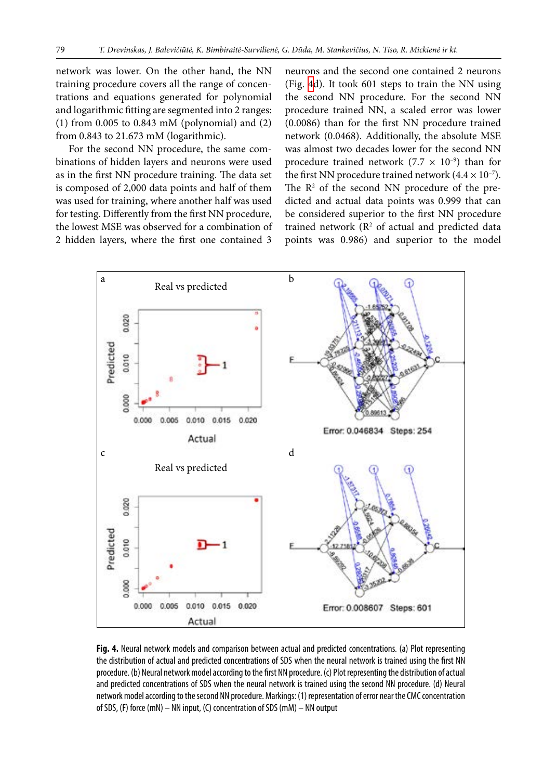network was lower. On the other hand, the NN training procedure covers all the range of concentrations and equations generated for polynomial and logarithmic fitting are segmented into 2 ranges: (1) from 0.005 to 0.843 mM (polynomial) and (2) from 0.843 to 21.673 mM (logarithmic).

For the second NN procedure, the same combinations of hidden layers and neurons were used as in the first NN procedure training. The data set is composed of 2,000 data points and half of them was used for training, where another half was used for testing. Differently from the first NN procedure, the lowest MSE was observed for a combination of 2 hidden layers, where the first one contained 3 neurons and the second one contained 2 neurons (Fig. [4d](#page-6-0)). It took 601 steps to train the NN using the second NN procedure. For the second NN procedure trained NN, a scaled error was lower (0.0086) than for the first NN procedure trained network (0.0468). Additionally, the absolute MSE was almost two decades lower for the second NN procedure trained network (7.7  $\times$  10<sup>-9</sup>) than for the first NN procedure trained network  $(4.4 \times 10^{-7})$ . The  $\mathbb{R}^2$  of the second NN procedure of the predicted and actual data points was 0.999 that can be considered superior to the first NN procedure trained network  $(R<sup>2</sup>$  of actual and predicted data points was 0.986) and superior to the model

<span id="page-6-0"></span>

**Fig. 4.** Neural network models and comparison between actual and predicted concentrations. (a) Plot representing the distribution of actual and predicted concentrations of SDS when the neural network is trained using the first NN procedure. (b) Neural network model according to the first NN procedure. (c) Plot representing the distribution of actual and predicted concentrations of SDS when the neural network is trained using the second NN procedure. (d) Neural network model according to the second NN procedure. Markings: (1) representation of error near the CMC concentration of SDS, (F) force (mN) – NN input, (C) concentration of SDS (mM) – NN output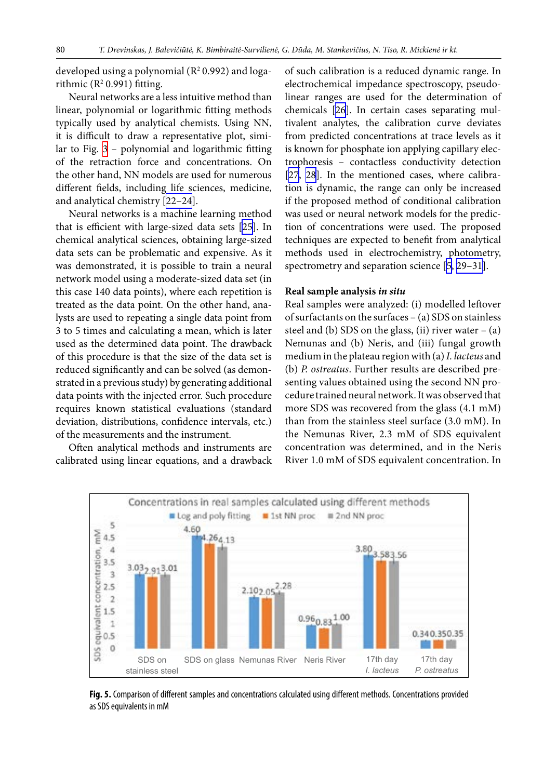developed using a polynomial  $(R^2 0.992)$  and logarithmic  $(R^2 0.991)$  fitting.

Neural networks are a less intuitive method than linear, polynomial or logarithmic fitting methods typically used by analytical chemists. Using NN, it is difficult to draw a representative plot, simi-lar to Fig. [3](#page-5-0) - polynomial and logarithmic fitting of the retraction force and concentrations. On the other hand, NN models are used for numerous different fields, including life sciences, medicine, and analytical chemistry [[22–24\]](#page-9-0).

Neural networks is a machine learning method that is efficient with large-sized data sets [\[25](#page-9-1)]. In chemical analytical sciences, obtaining large-sized data sets can be problematic and expensive. As it was demonstrated, it is possible to train a neural network model using a moderate-sized data set (in this case 140 data points), where each repetition is treated as the data point. On the other hand, analysts are used to repeating a single data point from 3 to 5 times and calculating a mean, which is later used as the determined data point. The drawback of this procedure is that the size of the data set is reduced significantly and can be solved (as demonstrated in a previous study) by generating additional data points with the injected error. Such procedure requires known statistical evaluations (standard deviation, distributions, confidence intervals, etc.) of the measurements and the instrument.

Often analytical methods and instruments are calibrated using linear equations, and a drawback of such calibration is a reduced dynamic range. In electrochemical impedance spectroscopy, pseudolinear ranges are used for the determination of chemicals [[26\]](#page-9-2). In certain cases separating multivalent analytes, the calibration curve deviates from predicted concentrations at trace levels as it is known for phosphate ion applying capillary electrophoresis – contactless conductivity detection [\[27](#page-9-3), [28\]](#page-9-4). In the mentioned cases, where calibration is dynamic, the range can only be increased if the proposed method of conditional calibration was used or neural network models for the prediction of concentrations were used. The proposed techniques are expected to benefit from analytical methods used in electrochemistry, photometry, spectrometry and separation science [\[5,](#page-8-17) [29–31](#page-9-5)].

#### **Real sample analysis** *in situ*

Real samples were analyzed: (i) modelled leftover of surfactants on the surfaces – (a) SDS on stainless steel and (b) SDS on the glass, (ii) river water  $-$  (a) Nemunas and (b) Neris, and (iii) fungal growth medium in the plateau region with (a) *I. lacteus* and (b) *P. ostreatus*. Further results are described presenting values obtained using the second NN procedure trained neural network. It was observed that more SDS was recovered from the glass (4.1 mM) than from the stainless steel surface (3.0 mM). In the Nemunas River, 2.3 mM of SDS equivalent concentration was determined, and in the Neris River 1.0 mM of SDS equivalent concentration. In

<span id="page-7-0"></span>

**Fig. 5.** Comparison of different samples and concentrations calculated using different methods. Concentrations provided as SDS equivalents in mM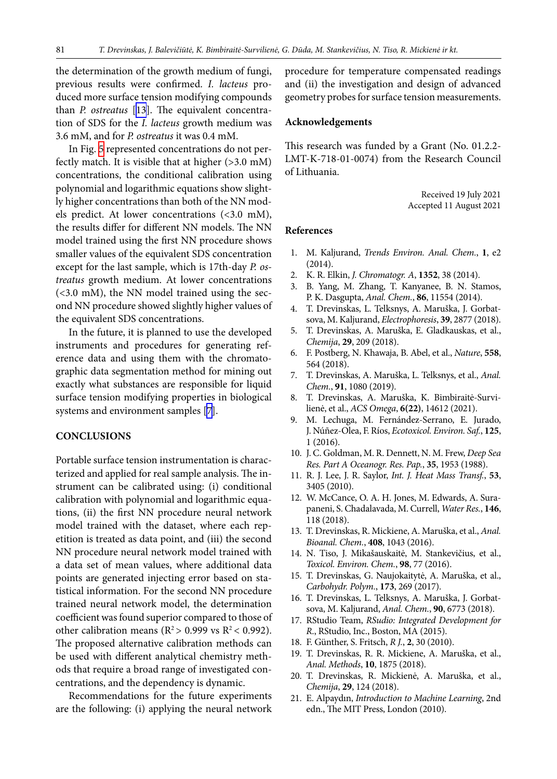the determination of the growth medium of fungi, previous results were confirmed. *I. lacteus* produced more surface tension modifying compounds than *P. ostreatus* [[13\]](#page-8-8). The equivalent concentration of SDS for the *I. lacteus* growth medium was 3.6 mM, and for *P. ostreatus* it was 0.4 mM.

In Fig. [5](#page-7-0) represented concentrations do not perfectly match. It is visible that at higher (>3.0 mM) concentrations, the conditional calibration using polynomial and logarithmic equations show slightly higher concentrations than both of the NN models predict. At lower concentrations (<3.0 mM), the results differ for different NN models. The NN model trained using the first NN procedure shows smaller values of the equivalent SDS concentration except for the last sample, which is 17th-day *P. ostreatus* growth medium. At lower concentrations (<3.0 mM), the NN model trained using the second NN procedure showed slightly higher values of the equivalent SDS concentrations.

In the future, it is planned to use the developed instruments and procedures for generating reference data and using them with the chromatographic data segmentation method for mining out exactly what substances are responsible for liquid surface tension modifying properties in biological systems and environment samples [[7](#page-8-2)].

#### **CONCLUSIONS**

Portable surface tension instrumentation is characterized and applied for real sample analysis. The instrument can be calibrated using: (i) conditional calibration with polynomial and logarithmic equations, (ii) the first NN procedure neural network model trained with the dataset, where each repetition is treated as data point, and (iii) the second NN procedure neural network model trained with a data set of mean values, where additional data points are generated injecting error based on statistical information. For the second NN procedure trained neural network model, the determination coefficient was found superior compared to those of other calibration means ( $R^2 > 0.999$  vs  $R^2 < 0.992$ ). The proposed alternative calibration methods can be used with different analytical chemistry methods that require a broad range of investigated concentrations, and the dependency is dynamic.

Recommendations for the future experiments are the following: (i) applying the neural network procedure for temperature compensated readings and (ii) the investigation and design of advanced geometry probes for surface tension measurements.

#### **Acknowledgements**

This research was funded by a Grant (No. 01.2.2- LMT-K-718-01-0074) from the Research Council of Lithuania.

> Received 19 July 2021 Accepted 11 August 2021

#### <span id="page-8-0"></span>**References**

- <span id="page-8-1"></span>1. M. Kaljurand, *Trends Environ. Anal. Chem.*, **1**, e2 (2014).
- 2. K. R. Elkin, *J. Chromatogr. A*, **1352**, 38 (2014).
- 3. B. Yang, M. Zhang, T. Kanyanee, B. N. Stamos, P. K. Dasgupta, *Anal. Chem.*, **86**, 11554 (2014).
- <span id="page-8-17"></span>4. T. Drevinskas, L. Telksnys, A. Maruška, J. Gorbatsova, M. Kaljurand, *Electrophoresis*, **39**, 2877 (2018).
- 5. T. Drevinskas, A. Maruška, E. Gladkauskas, et al., *Chemija*, **29**, 209 (2018).
- 6. F. Postberg, N. Khawaja, B. Abel, et al., *Nature*, **558**, 564 (2018).
- <span id="page-8-3"></span><span id="page-8-2"></span>7. T. Drevinskas, A. Maruška, L. Telksnys, et al., *Anal. Chem.*, **91**, 1080 (2019).
- <span id="page-8-4"></span>8. T. Drevinskas, A. Maruška, K. Bimbiraitė-Survilienė, et al., *ACS Omega*, **6(22)**, 14612 (2021).
- 9. M. Lechuga, M. Fernández-Serrano, E. Jurado, J. Núñez-Olea, F. Ríos, *Ecotoxicol. Environ. Saf.*, **125**, 1 (2016).
- <span id="page-8-6"></span><span id="page-8-5"></span>10. J. C. Goldman, M. R. Dennett, N. M. Frew, *Deep Sea Res. Part A Oceanogr. Res. Pap.*, **35**, 1953 (1988).
- 11. R. J. Lee, J. R. Saylor, *Int. J. Heat Mass Transf.*, **53**, 3405 (2010).
- <span id="page-8-7"></span>12. W. McCance, O. A. H. Jones, M. Edwards, A. Surapaneni, S. Chadalavada, M. Currell, *Water Res.*, **146**, 118 (2018).
- <span id="page-8-8"></span>13. T. Drevinskas, R. Mickiene, A. Maruška, et al., *Anal. Bioanal. Chem.*, **408**, 1043 (2016).
- <span id="page-8-10"></span><span id="page-8-9"></span>14. N. Tiso, J. Mikašauskaitė, M. Stankevičius, et al., *Toxicol. Environ. Chem.*, **98**, 77 (2016).
- <span id="page-8-11"></span>15. T. Drevinskas, G. Naujokaitytė, A. Maruška, et al., *Carbohydr. Polym.*, **173**, 269 (2017).
- <span id="page-8-12"></span>16. T. Drevinskas, L. Telksnys, A. Maruška, J. Gorbatsova, M. Kaljurand, *Anal. Chem.*, **90**, 6773 (2018).
- <span id="page-8-13"></span>17. RStudio Team, *RSudio: Integrated Development for R*., RStudio, Inc., Boston, MA (2015).
- <span id="page-8-14"></span>18. F. Günther, S. Fritsch, *R J.*, **2**, 30 (2010).
- <span id="page-8-15"></span>19. T. Drevinskas, R. R. Mickiene, A. Maruška, et al., *Anal. Methods*, **10**, 1875 (2018).
- <span id="page-8-16"></span>20. T. Drevinskas, R. Mickienė, A. Maruška, et al., *Chemija*, **29**, 124 (2018).
- 21. E. Alpaydın, *Introduction to Machine Learning*, 2nd edn., The MIT Press, London (2010).